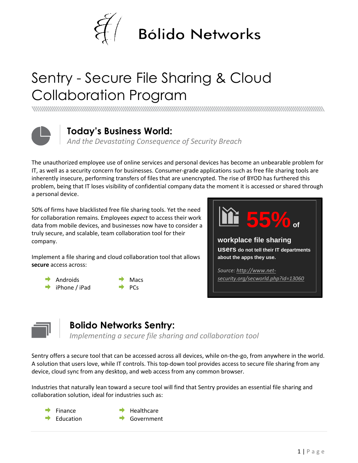

# Sentry - Secure File Sharing & Cloud Collaboration Program



#### **Today's Business World:**

*And the Devastating Consequence of Security Breach*

The unauthorized employee use of online services and personal devices has become an unbearable problem for IT, as well as a security concern for businesses. Consumer-grade applications such as free file sharing tools are inherently insecure, performing transfers of files that are unencrypted. The rise of BYOD has furthered this problem, being that IT loses visibility of confidential company data the moment it is accessed or shared through a personal device.

50% of firms have blacklisted free file sharing tools. Yet the need for collaboration remains. Employees *expect* to access their work data from mobile devices, and businesses now have to consider a truly secure, and scalable, team collaboration tool for their company.

Implement a file sharing and cloud collaboration tool that allows **secure** access across:

- $\rightarrow$ Androids
- iPhone / iPad
- Macs PCs





### **Bolido Networks Sentry:**

*Implementing a secure file sharing and collaboration tool*

Sentry offers a secure tool that can be accessed across all devices, while on-the-go, from anywhere in the world. A solution that users love, while IT controls. This top-down tool provides access to secure file sharing from any device, cloud sync from any desktop, and web access from any common browser.

Industries that naturally lean toward a secure tool will find that Sentry provides an essential file sharing and collaboration solution, ideal for industries such as:

- Finance
	-
- Healthcare
- Education
- Government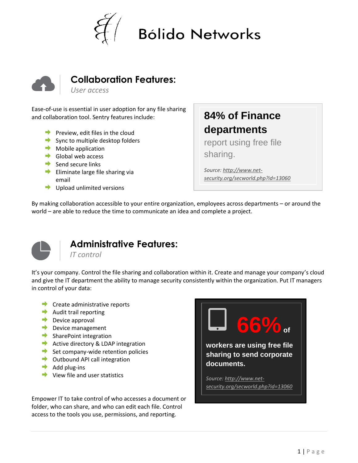



#### **Collaboration Features:**

*User access*

Ease-of-use is essential in user adoption for any file sharing and collaboration tool. Sentry features include:

- **Preview, edit files in the cloud**
- $\rightarrow$  Sync to multiple desktop folders
- $\rightarrow$  Mobile application
- $\rightarrow$  Global web access
- $\rightarrow$  Send secure links
- $\blacktriangleright$  Eliminate large file sharing via email
- $\rightarrow$  Upload unlimited versions

## **84% of Finance departments**

report using free file sharing.

*Source[: http://www.net](http://www.net-security.org/secworld.php?id=13060)[security.org/secworld.php?id=13060](http://www.net-security.org/secworld.php?id=13060)*

By making collaboration accessible to your entire organization, employees across departments – or around the world – are able to reduce the time to communicate an idea and complete a project.



#### **Administrative Features:**

*IT control*

It's your company. Control the file sharing and collaboration within it. Create and manage your company's cloud and give the IT department the ability to manage security consistently within the organization. Put IT managers in control of your data:

- **Create administrative reports**
- $\rightarrow$  Audit trail reporting
- $\rightarrow$  Device approval
- Device management
- SharePoint integration
- Active directory & LDAP integration
- $\rightarrow$  Set company-wide retention policies
- **→** Outbound API call integration
- $\rightarrow$  Add plug-ins
- $\rightarrow$  View file and user statistics

Empower IT to take control of who accesses a document or folder, who can share, and who can edit each file. Control access to the tools you use, permissions, and reporting.